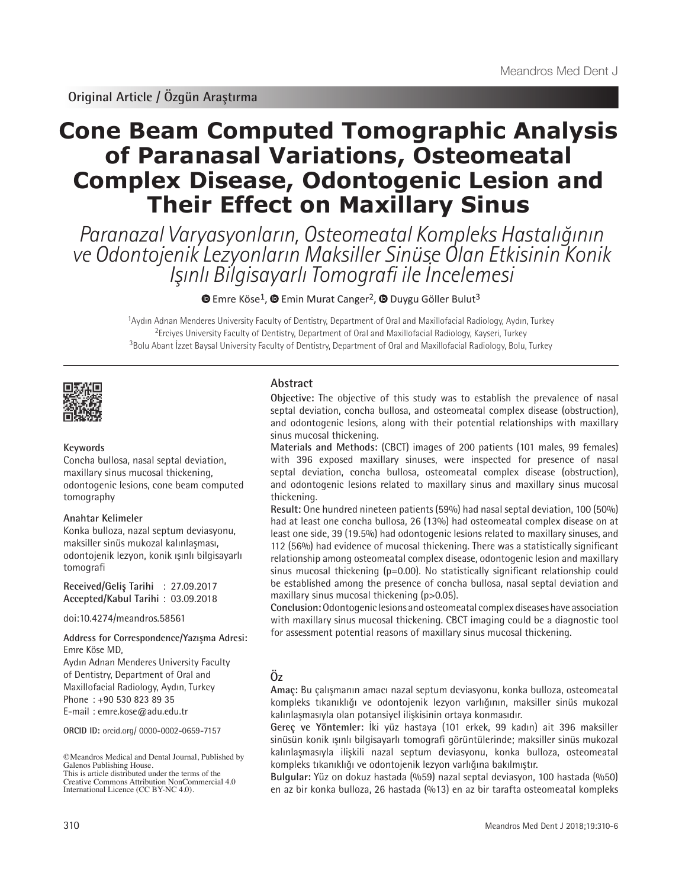**Original Article / Özgün Araştırma**

# **Cone Beam Computed Tomographic Analysis of Paranasal Variations, Osteomeatal Complex Disease, Odontogenic Lesion and Their Effect on Maxillary Sinus**

Paranazal Varyasyonların, Osteomeatal Kompleks Hastalığının ve Odontojenik Lezyonların Maksiller Sinüse Olan Etkisinin Konik Işınlı Bilgisayarlı Tomografi ile İncelemesi

 $\bullet$  [E](https://orcid.org/0000-0002-0659-7157)mreKöse<sup>1</sup>,  $\bullet$  Emin Murat Canger<sup>2</sup>,  $\bullet$  Duygu Göller Bulut<sup>3</sup>

<sup>1</sup>Aydın Adnan Menderes University Faculty of Dentistry, Department of Oral and Maxillofacial Radiology, Aydın, Turkey <sup>2</sup>Erciyes University Faculty of Dentistry, Department of Oral and Maxillofacial Radiology, Kayseri, Turkey <sup>3</sup>Bolu Abant İzzet Baysal University Faculty of Dentistry, Department of Oral and Maxillofacial Radiology, Bolu, Turkey



# **Keywords**

Concha bullosa, nasal septal deviation, maxillary sinus mucosal thickening, odontogenic lesions, cone beam computed tomography

# **Anahtar Kelimeler**

Konka bulloza, nazal septum deviasyonu, maksiller sinüs mukozal kalınlaşması, odontojenik lezyon, konik ışınlı bilgisayarlı tomografi

**Received/Geliş Tarihi** : 27.09.2017 **Accepted/Kabul Tarihi** : 03.09.2018

doi:10.4274/meandros.58561

# Emre Köse MD,

Aydın Adnan Menderes University Faculty of Dentistry, Department of Oral and Maxillofacial Radiology, Aydın, Turkey Phone : +90 530 823 89 35 E-mail : emre.kose@adu.edu.tr

**ORCID ID:** orcid.org/ 0000-0002-0659-7157

©Meandros Medical and Dental Journal, Published by Galenos Publishing House. This is article distributed under the terms of the

# **Abstract**

**Objective:** The objective of this study was to establish the prevalence of nasal septal deviation, concha bullosa, and osteomeatal complex disease (obstruction), and odontogenic lesions, along with their potential relationships with maxillary sinus mucosal thickening.

**Materials and Methods:** (CBCT) images of 200 patients (101 males, 99 females) with 396 exposed maxillary sinuses, were inspected for presence of nasal septal deviation, concha bullosa, osteomeatal complex disease (obstruction), and odontogenic lesions related to maxillary sinus and maxillary sinus mucosal thickening.

**Result:** One hundred nineteen patients (59%) had nasal septal deviation, 100 (50%) had at least one concha bullosa, 26 (13%) had osteomeatal complex disease on at least one side, 39 (19.5%) had odontogenic lesions related to maxillary sinuses, and 112 (56%) had evidence of mucosal thickening. There was a statistically significant relationship among osteomeatal complex disease, odontogenic lesion and maxillary sinus mucosal thickening (p=0.00). No statistically significant relationship could be established among the presence of concha bullosa, nasal septal deviation and maxillary sinus mucosal thickening (p>0.05).

**Conclusion:** Odontogenic lesions and osteomeatal complex diseases have association with maxillary sinus mucosal thickening. CBCT imaging could be a diagnostic tool for assessment potential reasons of maxillary sinus mucosal thickening. **Address for Correspondence/Yazışma Adresi:**

# **Öz**

**Amaç:** Bu çalışmanın amacı nazal septum deviasyonu, konka bulloza, osteomeatal kompleks tıkanıklığı ve odontojenik lezyon varlığının, maksiller sinüs mukozal kalınlaşmasıyla olan potansiyel ilişkisinin ortaya konmasıdır.

**Gereç ve Yöntemler:** İki yüz hastaya (101 erkek, 99 kadın) ait 396 maksiller sinüsün konik ışınlı bilgisayarlı tomografi görüntülerinde; maksiller sinüs mukozal kalınlaşmasıyla ilişkili nazal septum deviasyonu, konka bulloza, osteomeatal kompleks tıkanıklığı ve odontojenik lezyon varlığına bakılmıştır.

**Bulgular:** Yüz on dokuz hastada (%59) nazal septal deviasyon, 100 hastada (%50) en az bir konka bulloza, 26 hastada (%13) en az bir tarafta osteomeatal kompleks

Creative Commons Attribution NonCommercial 4.0 International Licence (CC BY-NC 4.0).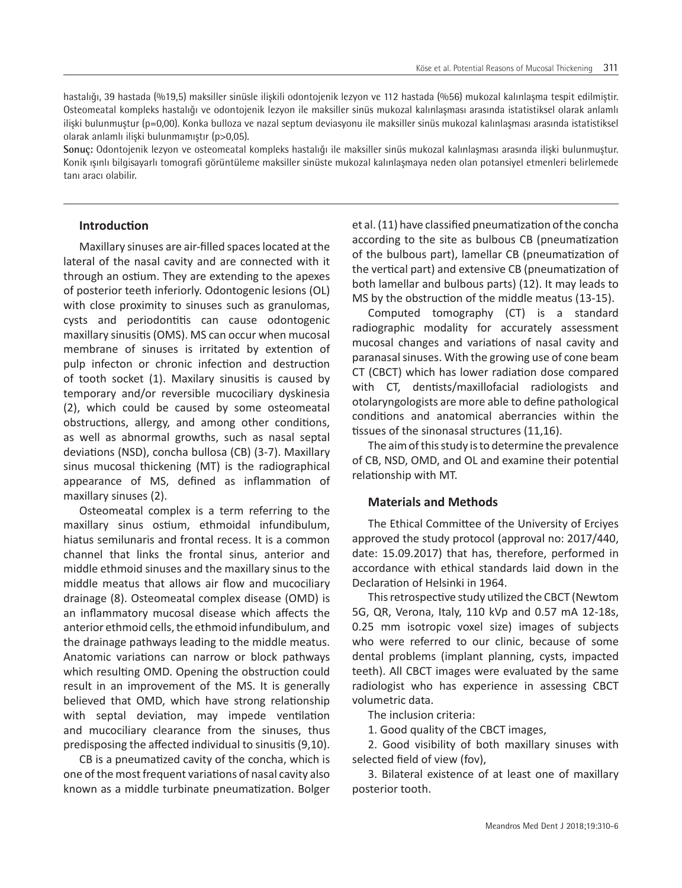hastalığı, 39 hastada (%19,5) maksiller sinüsle ilişkili odontojenik lezyon ve 112 hastada (%56) mukozal kalınlaşma tespit edilmiştir. Osteomeatal kompleks hastalığı ve odontojenik lezyon ile maksiller sinüs mukozal kalınlaşması arasında istatistiksel olarak anlamlı ilişki bulunmuştur (p=0,00). Konka bulloza ve nazal septum deviasyonu ile maksiller sinüs mukozal kalınlaşması arasında istatistiksel olarak anlamlı ilişki bulunmamıştır (p>0,05).

**Sonuç:** Odontojenik lezyon ve osteomeatal kompleks hastalığı ile maksiller sinüs mukozal kalınlaşması arasında ilişki bulunmuştur. Konik ışınlı bilgisayarlı tomografi görüntüleme maksiller sinüste mukozal kalınlaşmaya neden olan potansiyel etmenleri belirlemede tanı aracı olabilir.

# **Introduction**

Maxillary sinuses are air-filled spaces located at the lateral of the nasal cavity and are connected with it through an ostium. They are extending to the apexes of posterior teeth inferiorly. Odontogenic lesions (OL) with close proximity to sinuses such as granulomas, cysts and periodontitis can cause odontogenic maxillary sinusitis (OMS). MS can occur when mucosal membrane of sinuses is irritated by extention of pulp infecton or chronic infection and destruction of tooth socket (1). Maxilary sinusitis is caused by temporary and/or reversible mucociliary dyskinesia (2), which could be caused by some osteomeatal obstructions, allergy, and among other conditions, as well as abnormal growths, such as nasal septal deviations (NSD), concha bullosa (CB) (3-7). Maxillary sinus mucosal thickening (MT) is the radiographical appearance of MS, defined as inflammation of maxillary sinuses (2).

Osteomeatal complex is a term referring to the maxillary sinus ostium, ethmoidal infundibulum, hiatus semilunaris and frontal recess. It is a common channel that links the frontal sinus, anterior and middle ethmoid sinuses and the maxillary sinus to the middle meatus that allows air flow and mucociliary drainage (8). Osteomeatal complex disease (OMD) is an inflammatory mucosal disease which affects the anterior ethmoid cells, the ethmoid infundibulum, and the drainage pathways leading to the middle meatus. Anatomic variations can narrow or block pathways which resulting OMD. Opening the obstruction could result in an improvement of the MS. It is generally believed that OMD, which have strong relationship with septal deviation, may impede ventilation and mucociliary clearance from the sinuses, thus predisposing the affected individual to sinusitis (9,10).

CB is a pneumatized cavity of the concha, which is one of the most frequent variations of nasal cavity also known as a middle turbinate pneumatization. Bolger et al. (11) have classified pneumatization of the concha according to the site as bulbous CB (pneumatization of the bulbous part), lamellar CB (pneumatization of the vertical part) and extensive CB (pneumatization of both lamellar and bulbous parts) (12). It may leads to MS by the obstruction of the middle meatus (13-15).

Computed tomography (CT) is a standard radiographic modality for accurately assessment mucosal changes and variations of nasal cavity and paranasal sinuses. With the growing use of cone beam CT (CBCT) which has lower radiation dose compared with CT, dentists/maxillofacial radiologists and otolaryngologists are more able to define pathological conditions and anatomical aberrancies within the tissues of the sinonasal structures (11,16).

The aim of this study is to determine the prevalence of CB, NSD, OMD, and OL and examine their potential relationship with MT.

#### **Materials and Methods**

The Ethical Committee of the University of Erciyes approved the study protocol (approval no: 2017/440, date: 15.09.2017) that has, therefore, performed in accordance with ethical standards laid down in the Declaration of Helsinki in 1964.

This retrospective study utilized the CBCT (Newtom 5G, QR, Verona, Italy, 110 kVp and 0.57 mA 12-18s, 0.25 mm isotropic voxel size) images of subjects who were referred to our clinic, because of some dental problems (implant planning, cysts, impacted teeth). All CBCT images were evaluated by the same radiologist who has experience in assessing CBCT volumetric data.

The inclusion criteria:

1. Good quality of the CBCT images,

2. Good visibility of both maxillary sinuses with selected field of view (fov),

3. Bilateral existence of at least one of maxillary posterior tooth.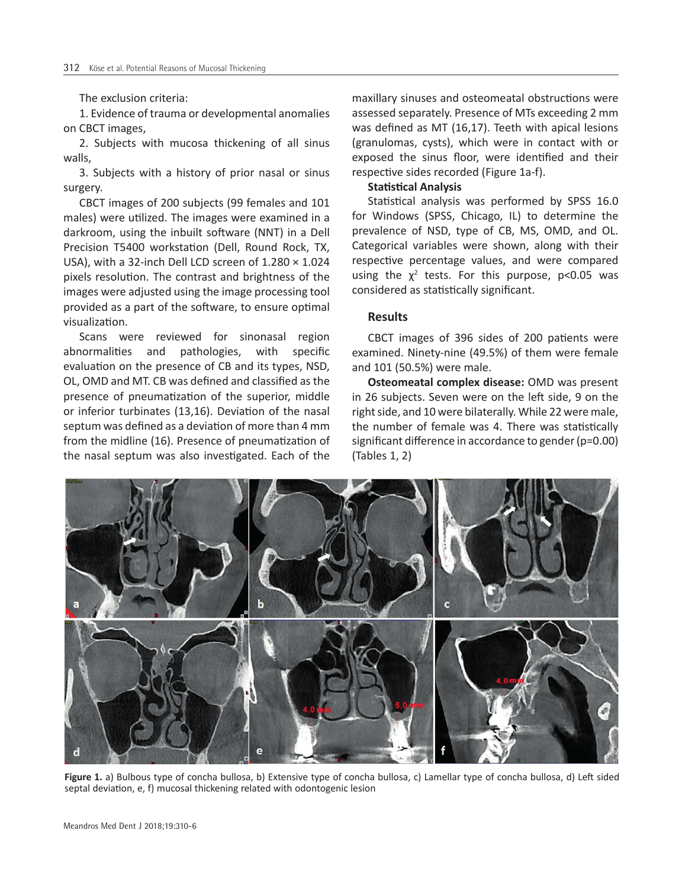The exclusion criteria:

1. Evidence of trauma or developmental anomalies on CBCT images,

2. Subjects with mucosa thickening of all sinus walls,

3. Subjects with a history of prior nasal or sinus surgery.

CBCT images of 200 subjects (99 females and 101 males) were utilized. The images were examined in a darkroom, using the inbuilt software (NNT) in a Dell Precision T5400 workstation (Dell, Round Rock, TX, USA), with a 32-inch Dell LCD screen of 1.280 × 1.024 pixels resolution. The contrast and brightness of the images were adjusted using the image processing tool provided as a part of the software, to ensure optimal visualization.

Scans were reviewed for sinonasal region abnormalities and pathologies, with specific evaluation on the presence of CB and its types, NSD, OL, OMD and MT. CB was defined and classified as the presence of pneumatization of the superior, middle or inferior turbinates (13,16). Deviation of the nasal septum was defined as a deviation of more than 4 mm from the midline (16). Presence of pneumatization of the nasal septum was also investigated. Each of the

maxillary sinuses and osteomeatal obstructions were assessed separately. Presence of MTs exceeding 2 mm was defined as MT (16,17). Teeth with apical lesions (granulomas, cysts), which were in contact with or exposed the sinus floor, were identified and their respective sides recorded (Figure 1a-f).

#### **Statistical Analysis**

Statistical analysis was performed by SPSS 16.0 for Windows (SPSS, Chicago, IL) to determine the prevalence of NSD, type of CB, MS, OMD, and OL. Categorical variables were shown, along with their respective percentage values, and were compared using the  $\chi^2$  tests. For this purpose, p<0.05 was considered as statistically significant.

### **Results**

CBCT images of 396 sides of 200 patients were examined. Ninety-nine (49.5%) of them were female and 101 (50.5%) were male.

**Osteomeatal complex disease:** OMD was present in 26 subjects. Seven were on the left side, 9 on the right side, and 10 were bilaterally. While 22 were male, the number of female was 4. There was statistically significant difference in accordance to gender (p=0.00) (Tables 1, 2)



**Figure 1.** a) Bulbous type of concha bullosa, b) Extensive type of concha bullosa, c) Lamellar type of concha bullosa, d) Left sided septal deviation, e, f) mucosal thickening related with odontogenic lesion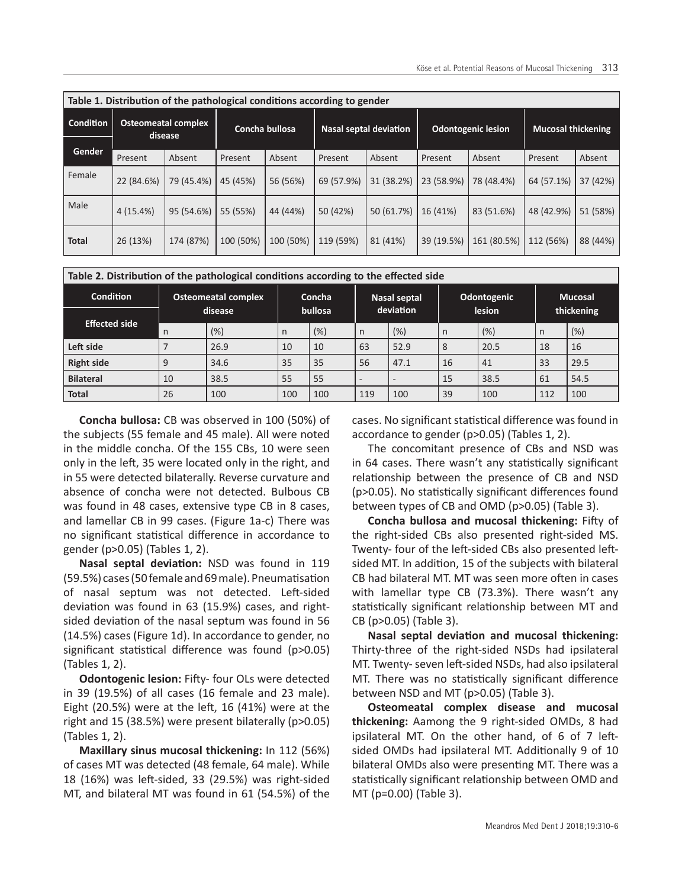| Table 1. Distribution of the pathological conditions according to gender |                                       |            |                |           |                               |            |                           |             |                           |          |
|--------------------------------------------------------------------------|---------------------------------------|------------|----------------|-----------|-------------------------------|------------|---------------------------|-------------|---------------------------|----------|
| <b>Condition</b>                                                         | <b>Osteomeatal complex</b><br>disease |            | Concha bullosa |           | <b>Nasal septal deviation</b> |            | <b>Odontogenic lesion</b> |             | <b>Mucosal thickening</b> |          |
| <b>Gender</b>                                                            |                                       |            |                |           |                               |            |                           |             |                           |          |
|                                                                          | Present                               | Absent     | Present        | Absent    | Present                       | Absent     | Present                   | Absent      | Present                   | Absent   |
| Female                                                                   | 22 (84.6%)                            | 79 (45.4%) | 45 (45%)       | 56 (56%)  | 69 (57.9%)                    | 31 (38.2%) | 23 (58.9%)                | 78 (48.4%)  | 64 (57.1%)                | 37 (42%) |
| Male                                                                     | 4(15.4%)                              | 95 (54.6%) | 55 (55%)       | 44 (44%)  | 50 (42%)                      | 50 (61.7%) | 16 (41%)                  | 83 (51.6%)  | 48 (42.9%)                | 51 (58%) |
| <b>Total</b>                                                             | 26 (13%)                              | 174 (87%)  | 100 (50%)      | 100 (50%) | 119 (59%)                     | 81 (41%)   | 39 (19.5%)                | 161 (80.5%) | 112 (56%)                 | 88 (44%) |

| Table 2. Distribution of the pathological conditions according to the effected side |                                       |      |                   |     |                           |                          |                              |      |                              |      |
|-------------------------------------------------------------------------------------|---------------------------------------|------|-------------------|-----|---------------------------|--------------------------|------------------------------|------|------------------------------|------|
| <b>Condition</b>                                                                    | <b>Osteomeatal complex</b><br>disease |      | Concha<br>bullosa |     | Nasal septal<br>deviation |                          | Odontogenic<br><b>lesion</b> |      | <b>Mucosal</b><br>thickening |      |
| <b>Effected side</b>                                                                |                                       |      |                   |     |                           |                          |                              |      |                              |      |
|                                                                                     | $\mathsf{n}$                          | (%)  | $\mathsf{n}$      | (%) | n                         | (%)                      | n                            | (%)  | n                            | (%)  |
| Left side                                                                           |                                       | 26.9 | 10                | 10  | 63                        | 52.9                     | 8                            | 20.5 | 18                           | 16   |
| <b>Right side</b>                                                                   | 9                                     | 34.6 | 35                | 35  | 56                        | 47.1                     | 16                           | 41   | 33                           | 29.5 |
| <b>Bilateral</b>                                                                    | 10                                    | 38.5 | 55                | 55  |                           | $\overline{\phantom{a}}$ | 15                           | 38.5 | 61                           | 54.5 |
| <b>Total</b>                                                                        | 26                                    | 100  | 100               | 100 | 119                       | 100                      | 39                           | 100  | 112                          | 100  |

**Concha bullosa:** CB was observed in 100 (50%) of the subjects (55 female and 45 male). All were noted in the middle concha. Of the 155 CBs, 10 were seen only in the left, 35 were located only in the right, and in 55 were detected bilaterally. Reverse curvature and absence of concha were not detected. Bulbous CB was found in 48 cases, extensive type CB in 8 cases, and lamellar CB in 99 cases. (Figure 1a-c) There was no significant statistical difference in accordance to gender (p>0.05) (Tables 1, 2).

**Nasal septal deviation:** NSD was found in 119 (59.5%) cases (50 female and 69 male). Pneumatisation of nasal septum was not detected. Left-sided deviation was found in 63 (15.9%) cases, and rightsided deviation of the nasal septum was found in 56 (14.5%) cases (Figure 1d). In accordance to gender, no significant statistical difference was found (p>0.05) (Tables 1, 2).

**Odontogenic lesion:** Fifty- four OLs were detected in 39 (19.5%) of all cases (16 female and 23 male). Eight (20.5%) were at the left, 16 (41%) were at the right and 15 (38.5%) were present bilaterally (p>0.05) (Tables 1, 2).

**Maxillary sinus mucosal thickening:** In 112 (56%) of cases MT was detected (48 female, 64 male). While 18 (16%) was left-sided, 33 (29.5%) was right-sided MT, and bilateral MT was found in 61 (54.5%) of the cases. No significant statistical difference was found in accordance to gender (p>0.05) (Tables 1, 2).

The concomitant presence of CBs and NSD was in 64 cases. There wasn't any statistically significant relationship between the presence of CB and NSD (p>0.05). No statistically significant differences found between types of CB and OMD (p>0.05) (Table 3).

**Concha bullosa and mucosal thickening:** Fifty of the right-sided CBs also presented right-sided MS. Twenty- four of the left-sided CBs also presented leftsided MT. In addition, 15 of the subjects with bilateral CB had bilateral MT. MT was seen more often in cases with lamellar type CB (73.3%). There wasn't any statistically significant relationship between MT and CB (p>0.05) (Table 3).

**Nasal septal deviation and mucosal thickening:** Thirty-three of the right-sided NSDs had ipsilateral MT. Twenty- seven left-sided NSDs, had also ipsilateral MT. There was no statistically significant difference between NSD and MT (p>0.05) (Table 3).

**Osteomeatal complex disease and mucosal thickening:** Aamong the 9 right-sided OMDs, 8 had ipsilateral MT. On the other hand, of 6 of 7 leftsided OMDs had ipsilateral MT. Additionally 9 of 10 bilateral OMDs also were presenting MT. There was a statistically significant relationship between OMD and MT (p=0.00) (Table 3).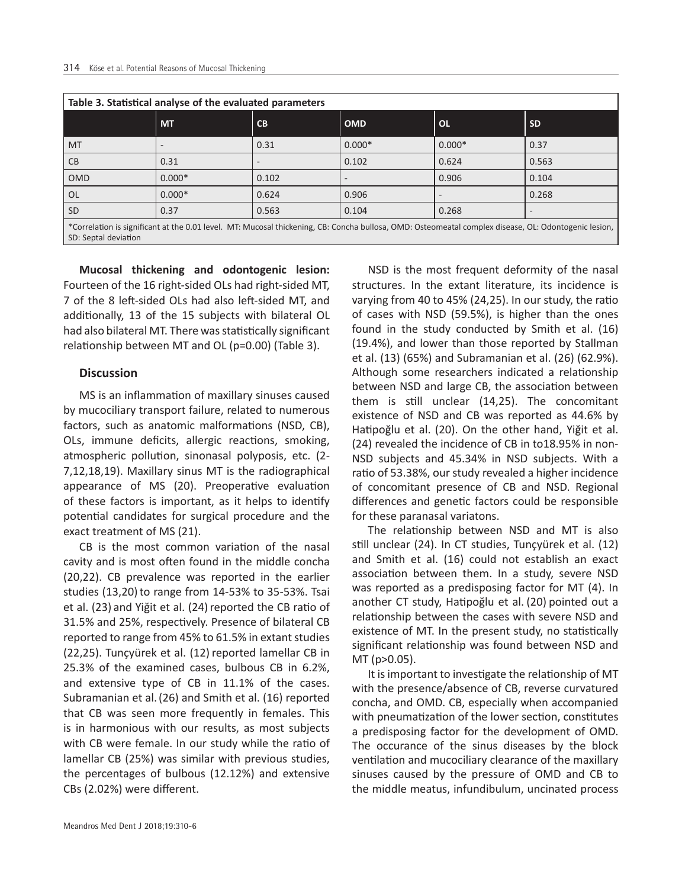| Table 3. Statistical analyse of the evaluated parameters                                                                                                                     |           |       |            |           |           |  |  |  |  |
|------------------------------------------------------------------------------------------------------------------------------------------------------------------------------|-----------|-------|------------|-----------|-----------|--|--|--|--|
|                                                                                                                                                                              | <b>MT</b> | CB    | <b>OMD</b> | <b>OL</b> | <b>SD</b> |  |  |  |  |
| <b>MT</b>                                                                                                                                                                    |           | 0.31  | $0.000*$   | $0.000*$  | 0.37      |  |  |  |  |
| <b>CB</b>                                                                                                                                                                    | 0.31      |       | 0.102      | 0.624     | 0.563     |  |  |  |  |
| <b>OMD</b>                                                                                                                                                                   | $0.000*$  | 0.102 |            | 0.906     | 0.104     |  |  |  |  |
| <b>OL</b>                                                                                                                                                                    | $0.000*$  | 0.624 | 0.906      |           | 0.268     |  |  |  |  |
| <b>SD</b>                                                                                                                                                                    | 0.37      | 0.563 | 0.104      | 0.268     |           |  |  |  |  |
| *Correlation is significant at the 0.01 level. MT: Mucosal thickening, CB: Concha bullosa, OMD: Osteomeatal complex disease, OL: Odontogenic lesion,<br>SD: Septal deviation |           |       |            |           |           |  |  |  |  |

**Mucosal thickening and odontogenic lesion:** Fourteen of the 16 right-sided OLs had right-sided MT, 7 of the 8 left-sided OLs had also left-sided MT, and additionally, 13 of the 15 subjects with bilateral OL had also bilateral MT. There was statistically significant relationship between MT and OL (p=0.00) (Table 3).

# **Discussion**

MS is an inflammation of maxillary sinuses caused by mucociliary transport failure, related to numerous factors, such as anatomic malformations (NSD, CB), OLs, immune deficits, allergic reactions, smoking, atmospheric pollution, sinonasal polyposis, etc. (2- 7,12,18,19). Maxillary sinus MT is the radiographical appearance of MS (20). Preoperative evaluation of these factors is important, as it helps to identify potential candidates for surgical procedure and the exact treatment of MS (21).

CB is the most common variation of the nasal cavity and is most often found in the middle concha (20,22). CB prevalence was reported in the earlier studies (13,20) to range from 14-53% to 35-53%. Tsai et al. (23) and Yiğit et al. (24) reported the CB ratio of 31.5% and 25%, respectively. Presence of bilateral CB reported to range from 45% to 61.5% in extant studies (22,25). Tunçyürek et al. (12) reported lamellar CB in 25.3% of the examined cases, bulbous CB in 6.2%, and extensive type of CB in 11.1% of the cases. Subramanian et al.(26) and Smith et al. (16) reported that CB was seen more frequently in females. This is in harmonious with our results, as most subjects with CB were female. In our study while the ratio of lamellar CB (25%) was similar with previous studies, the percentages of bulbous (12.12%) and extensive CBs (2.02%) were different.

NSD is the most frequent deformity of the nasal structures. In the extant literature, its incidence is varying from 40 to 45% (24,25). In our study, the ratio of cases with NSD (59.5%), is higher than the ones found in the study conducted by Smith et al. (16) (19.4%), and lower than those reported by Stallman et al. (13) (65%) and Subramanian et al. (26) (62.9%). Although some researchers indicated a relationship between NSD and large CB, the association between them is still unclear (14,25). The concomitant existence of NSD and CB was reported as 44.6% by Hatipoğlu et al. (20). On the other hand, Yiğit et al. (24) revealed the incidence of CB in to18.95% in non-NSD subjects and 45.34% in NSD subjects. With a ratio of 53.38%, our study revealed a higher incidence of concomitant presence of CB and NSD. Regional differences and genetic factors could be responsible for these paranasal variatons.

The relationship between NSD and MT is also still unclear (24). In CT studies, Tunçyürek et al. (12) and Smith et al. (16) could not establish an exact association between them. In a study, severe NSD was reported as a predisposing factor for MT (4). In another CT study, Hatipoğlu et al. (20) pointed out a relationship between the cases with severe NSD and existence of MT. In the present study, no statistically significant relationship was found between NSD and MT (p>0.05).

It is important to investigate the relationship of MT with the presence/absence of CB, reverse curvatured concha, and OMD. CB, especially when accompanied with pneumatization of the lower section, constitutes a predisposing factor for the development of OMD. The occurance of the sinus diseases by the block ventilation and mucociliary clearance of the maxillary sinuses caused by the pressure of OMD and CB to the middle meatus, infundibulum, uncinated process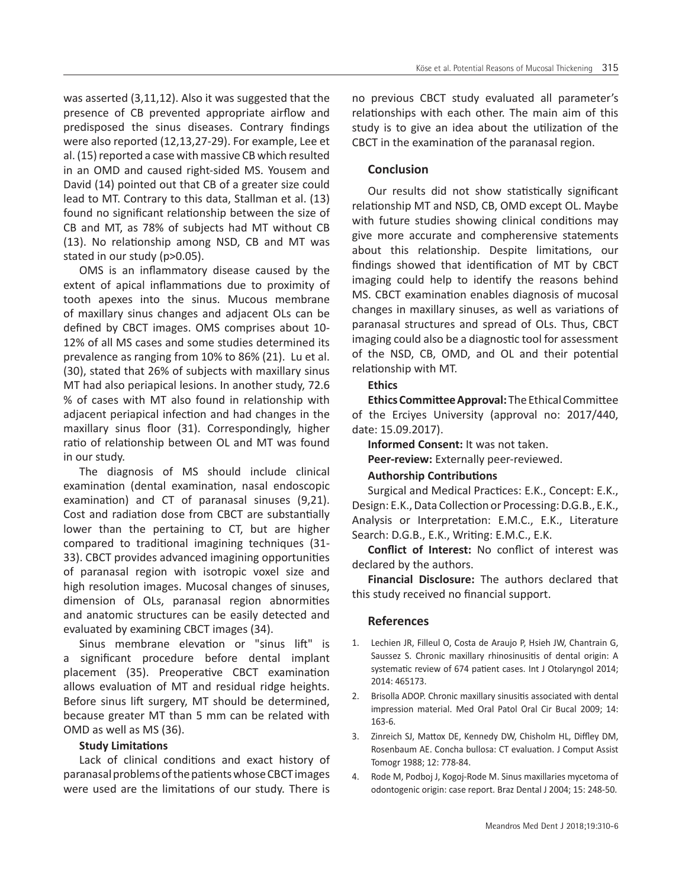was asserted (3,11,12). Also it was suggested that the presence of CB prevented appropriate airflow and predisposed the sinus diseases. Contrary findings were also reported (12,13,27-29). For example, Lee et al. (15) reported a case with massive CB which resulted in an OMD and caused right-sided MS. Yousem and David (14) pointed out that CB of a greater size could lead to MT. Contrary to this data, Stallman et al. (13) found no significant relationship between the size of CB and MT, as 78% of subjects had MT without CB (13). No relationship among NSD, CB and MT was stated in our study (p>0.05).

OMS is an inflammatory disease caused by the extent of apical inflammations due to proximity of tooth apexes into the sinus. Mucous membrane of maxillary sinus changes and adjacent OLs can be defined by CBCT images. OMS comprises about 10- 12% of all MS cases and some studies determined its prevalence as ranging from 10% to 86% (21). Lu et al. (30), stated that 26% of subjects with maxillary sinus MT had also periapical lesions. In another study, 72.6 % of cases with MT also found in relationship with adjacent periapical infection and had changes in the maxillary sinus floor (31). Correspondingly, higher ratio of relationship between OL and MT was found in our study.

The diagnosis of MS should include clinical examination (dental examination, nasal endoscopic examination) and CT of paranasal sinuses (9,21). Cost and radiation dose from CBCT are substantially lower than the pertaining to CT, but are higher compared to traditional imagining techniques (31- 33). CBCT provides advanced imagining opportunities of paranasal region with isotropic voxel size and high resolution images. Mucosal changes of sinuses, dimension of OLs, paranasal region abnormities and anatomic structures can be easily detected and evaluated by examining CBCT images (34).

Sinus membrane elevation or "sinus lift" is a significant procedure before dental implant placement (35). Preoperative CBCT examination allows evaluation of MT and residual ridge heights. Before sinus lift surgery, MT should be determined, because greater MT than 5 mm can be related with OMD as well as MS (36).

#### **Study Limitations**

Lack of clinical conditions and exact history of paranasal problems of the patients whose CBCT images were used are the limitations of our study. There is

no previous CBCT study evaluated all parameter's relationships with each other. The main aim of this study is to give an idea about the utilization of the CBCT in the examination of the paranasal region.

# **Conclusion**

Our results did not show statistically significant relationship MT and NSD, CB, OMD except OL. Maybe with future studies showing clinical conditions may give more accurate and compherensive statements about this relationship. Despite limitations, our findings showed that identification of MT by CBCT imaging could help to identify the reasons behind MS. CBCT examination enables diagnosis of mucosal changes in maxillary sinuses, as well as variations of paranasal structures and spread of OLs. Thus, CBCT imaging could also be a diagnostic tool for assessment of the NSD, CB, OMD, and OL and their potential relationship with MT.

# **Ethics**

**Ethics Committee Approval:**The Ethical Committee of the Erciyes University (approval no: 2017/440, date: 15.09.2017).

**Informed Consent:** It was not taken.

**Peer-review:** Externally peer-reviewed.

#### **Authorship Contributions**

Surgical and Medical Practices: E.K., Concept: E.K., Design: E.K., Data Collection or Processing: D.G.B., E.K., Analysis or Interpretation: E.M.C., E.K., Literature Search: D.G.B., E.K., Writing: E.M.C., E.K.

**Conflict of Interest:** No conflict of interest was declared by the authors.

**Financial Disclosure:** The authors declared that this study received no financial support.

#### **References**

- 1. Lechien JR, Filleul O, Costa de Araujo P, Hsieh JW, Chantrain G, Saussez S. Chronic maxillary rhinosinusitis of dental origin: A systematic review of 674 patient cases. Int J Otolaryngol 2014; 2014: 465173.
- 2. Brisolla ADOP. Chronic maxillary sinusitis associated with dental impression material. Med Oral Patol Oral Cir Bucal 2009; 14: 163-6.
- 3. Zinreich SJ, Mattox DE, Kennedy DW, Chisholm HL, Diffley DM, Rosenbaum AE. Concha bullosa: CT evaluation. J Comput Assist Tomogr 1988; 12: 778-84.
- 4. Rode M, Podboj J, Kogoj-Rode M. Sinus maxillaries mycetoma of odontogenic origin: case report. Braz Dental J 2004; 15: 248-50.